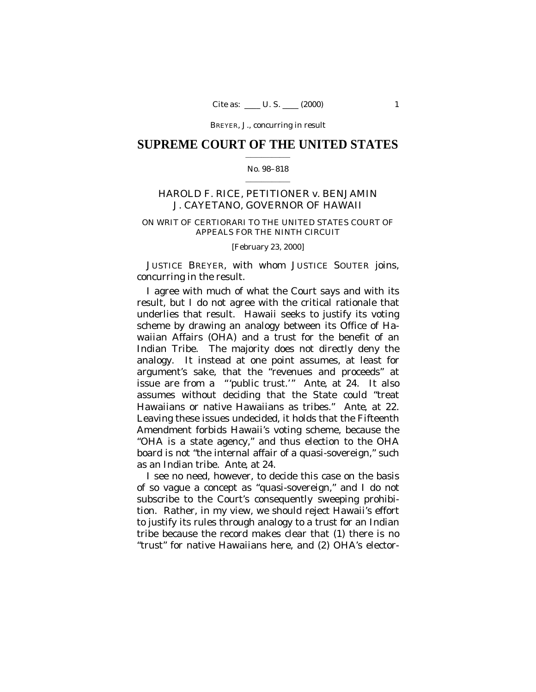# **SUPREME COURT OF THE UNITED STATES**  $\mathcal{L}=\mathcal{L}^{\mathcal{L}}$  , we have the set of the set of the set of the set of the set of the set of the set of the set of the set of the set of the set of the set of the set of the set of the set of the set of the set of th

## No. 98–818  $\mathcal{L}=\mathcal{L}^{\mathcal{L}}$  , we have the set of the set of the set of the set of the set of the set of the set of the set of the set of the set of the set of the set of the set of the set of the set of the set of the set of th

# HAROLD F. RICE, PETITIONER *v.* BENJAMIN J. CAYETANO, GOVERNOR OF HAWAII

# ON WRIT OF CERTIORARI TO THE UNITED STATES COURT OF APPEALS FOR THE NINTH CIRCUIT

## [February 23, 2000]

JUSTICE BREYER, with whom JUSTICE SOUTER joins, concurring in the result.

I agree with much of what the Court says and with its result, but I do not agree with the critical rationale that underlies that result. Hawaii seeks to justify its voting scheme by drawing an analogy between its Office of Hawaiian Affairs (OHA) and a trust for the benefit of an Indian Tribe. The majority does not directly deny the analogy. It instead at one point assumes, at least for argument's sake, that the "revenues and proceeds" at issue are from a "'public trust.'" *Ante*, at 24. It also assumes without deciding that the State could "treat Hawaiians or native Hawaiians as tribes." *Ante*, at 22. Leaving these issues undecided, it holds that the Fifteenth Amendment forbids Hawaii's voting scheme, because the "OHA is a state agency," and thus election to the OHA board is not "the internal affair of a quasi-sovereign," such as an Indian tribe. *Ante*, at 24.

I see no need, however, to decide this case on the basis of so vague a concept as "quasi-sovereign," and I do not subscribe to the Court's consequently sweeping prohibition. Rather, in my view, we should reject Hawaii's effort to justify its rules through analogy to a trust for an Indian tribe because the record makes clear that (1) there is no "trust" for native Hawaiians here, and (2) OHA's elector-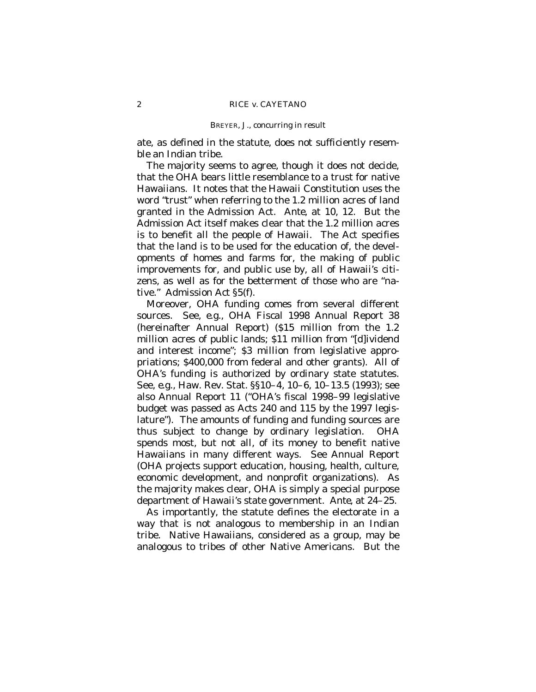ate, as defined in the statute, does not sufficiently resemble an Indian tribe.

The majority seems to agree, though it does not decide, that the OHA bears little resemblance to a trust for native Hawaiians. It notes that the Hawaii Constitution uses the word "trust" when referring to the 1.2 million acres of land granted in the Admission Act. *Ante*, at 10, 12. But the Admission Act itself makes clear that the 1.2 million acres is to benefit *all* the people of Hawaii. The Act specifies that the land is to be used for the education of, the developments of homes and farms for, the making of public improvements for, and public use by, *all* of Hawaii's citizens, as well as for the betterment of those who are "native." Admission Act §5(f).

Moreover, OHA funding comes from several different sources. See, *e.g.,* OHA Fiscal 1998 Annual Report 38 (hereinafter Annual Report) (\$15 million from the 1.2 million acres of public lands; \$11 million from "[d]ividend and interest income"; \$3 million from legislative appropriations; \$400,000 from federal and other grants). All of OHA's funding is authorized by ordinary state statutes. See, *e.g.,* Haw. Rev. Stat. §§10–4, 10–6, 10–13.5 (1993); see also Annual Report 11 ("OHA's fiscal 1998–99 legislative budget was passed as Acts 240 and 115 by the 1997 legislature"). The amounts of funding and funding sources are thus subject to change by ordinary legislation. OHA spends most, but not all, of its money to benefit native Hawaiians in many different ways. See Annual Report (OHA projects support education, housing, health, culture, economic development, and nonprofit organizations). As the majority makes clear, OHA is simply a special purpose department of Hawaii's state government. *Ante*, at 24–25.

As importantly, the statute defines the electorate in a way that is not analogous to membership in an Indian tribe. Native Hawaiians, considered as a group, may be analogous to tribes of other Native Americans. But the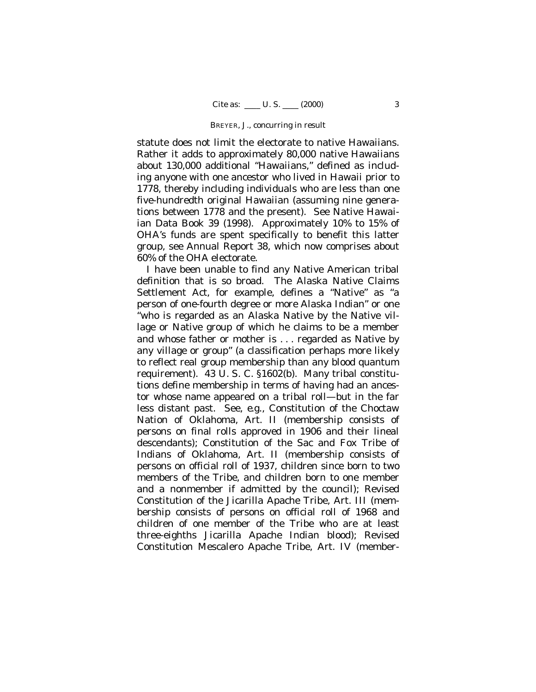statute does not limit the electorate to native Hawaiians. Rather it adds to approximately 80,000 native Hawaiians about 130,000 additional "Hawaiians," defined as including anyone with one ancestor who lived in Hawaii prior to 1778, thereby including individuals who are less than one five-hundredth original Hawaiian (assuming nine generations between 1778 and the present). See Native Hawaiian Data Book 39 (1998). Approximately 10% to 15% of OHA's funds are spent specifically to benefit this latter group, see Annual Report 38, which now comprises about 60% of the OHA electorate.

I have been unable to find any Native American tribal definition that is so broad. The Alaska Native Claims Settlement Act, for example, defines a "Native" as "a person of one-fourth degree or more Alaska Indian" or one "who is regarded as an Alaska Native by the Native village or Native group of which he claims to be a member and whose father or mother is . . . regarded as Native by any village or group" (a classification perhaps more likely to reflect real group membership than any blood quantum requirement). 43 U. S. C. §1602(b). Many tribal constitutions define membership in terms of having had an ancestor whose name appeared on a tribal roll— but in the far less distant past. See, *e.g.,* Constitution of the Choctaw Nation of Oklahoma, Art. II (membership consists of persons on final rolls approved in 1906 and their lineal descendants); Constitution of the Sac and Fox Tribe of Indians of Oklahoma, Art. II (membership consists of persons on official roll of 1937, children since born to two members of the Tribe, and children born to one member and a nonmember if admitted by the council); Revised Constitution of the Jicarilla Apache Tribe, Art. III (membership consists of persons on official roll of 1968 and children of one member of the Tribe who are at least three-eighths Jicarilla Apache Indian blood); Revised Constitution Mescalero Apache Tribe, Art. IV (member-